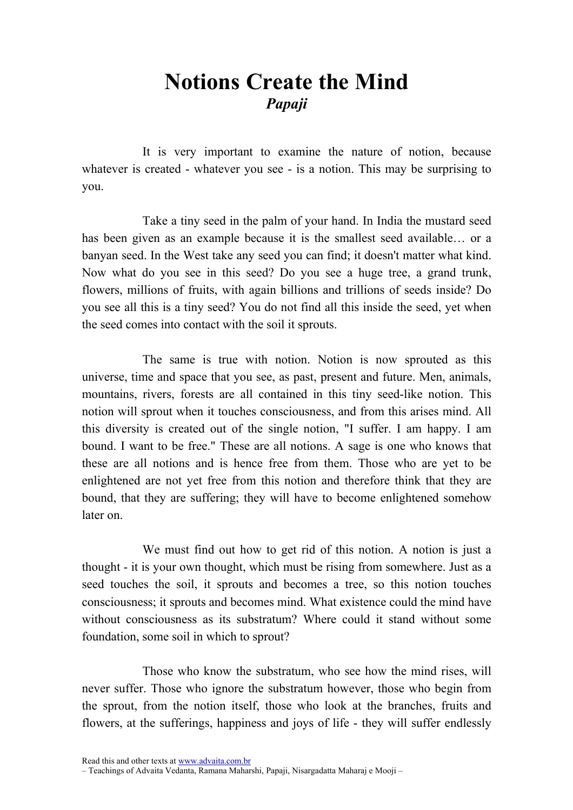## Notions Create the Mind Papaji

It is very important to examine the nature of notion, because whatever is created - whatever you see - is a notion. This may be surprising to you.

Take a tiny seed in the palm of your hand. In India the mustard seed has been given as an example because it is the smallest seed available… or a banyan seed. In the West take any seed you can find; it doesn't matter what kind. Now what do you see in this seed? Do you see a huge tree, a grand trunk, flowers, millions of fruits, with again billions and trillions of seeds inside? Do you see all this is a tiny seed? You do not find all this inside the seed, yet when the seed comes into contact with the soil it sprouts.

The same is true with notion. Notion is now sprouted as this universe, time and space that you see, as past, present and future. Men, animals, mountains, rivers, forests are all contained in this tiny seed-like notion. This notion will sprout when it touches consciousness, and from this arises mind. All this diversity is created out of the single notion, "I suffer. I am happy. I am bound. I want to be free." These are all notions. A sage is one who knows that these are all notions and is hence free from them. Those who are yet to be enlightened are not yet free from this notion and therefore think that they are bound, that they are suffering; they will have to become enlightened somehow later on.

We must find out how to get rid of this notion. A notion is just a thought - it is your own thought, which must be rising from somewhere. Just as a seed touches the soil, it sprouts and becomes a tree, so this notion touches consciousness; it sprouts and becomes mind. What existence could the mind have without consciousness as its substratum? Where could it stand without some foundation, some soil in which to sprout?

Those who know the substratum, who see how the mind rises, will never suffer. Those who ignore the substratum however, those who begin from the sprout, from the notion itself, those who look at the branches, fruits and flowers, at the sufferings, happiness and joys of life - they will suffer endlessly

Read this and other texts at www.advaita.com.br

<sup>–</sup> Teachings of Advaita Vedanta, Ramana Maharshi, Papaji, Nisargadatta Maharaj e Mooji –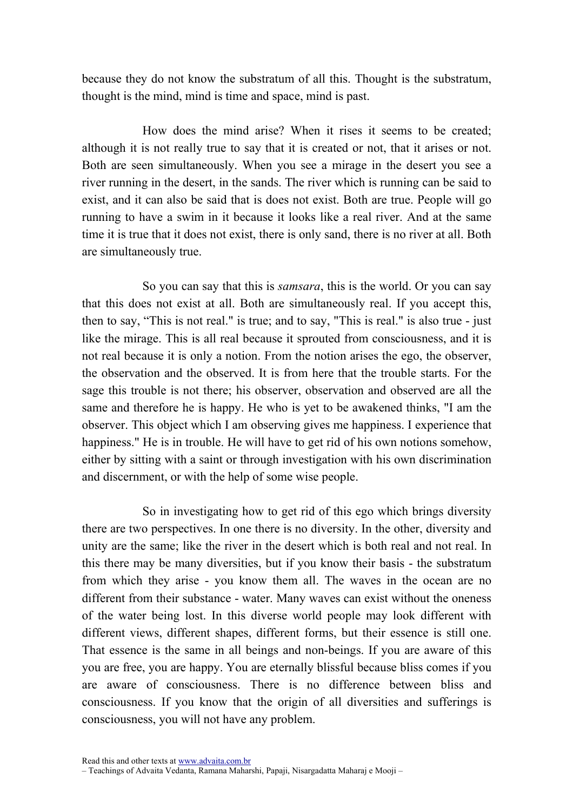because they do not know the substratum of all this. Thought is the substratum, thought is the mind, mind is time and space, mind is past.

How does the mind arise? When it rises it seems to be created; although it is not really true to say that it is created or not, that it arises or not. Both are seen simultaneously. When you see a mirage in the desert you see a river running in the desert, in the sands. The river which is running can be said to exist, and it can also be said that is does not exist. Both are true. People will go running to have a swim in it because it looks like a real river. And at the same time it is true that it does not exist, there is only sand, there is no river at all. Both are simultaneously true.

So you can say that this is *samsara*, this is the world. Or you can say that this does not exist at all. Both are simultaneously real. If you accept this, then to say, "This is not real." is true; and to say, "This is real." is also true - just like the mirage. This is all real because it sprouted from consciousness, and it is not real because it is only a notion. From the notion arises the ego, the observer, the observation and the observed. It is from here that the trouble starts. For the sage this trouble is not there; his observer, observation and observed are all the same and therefore he is happy. He who is yet to be awakened thinks, "I am the observer. This object which I am observing gives me happiness. I experience that happiness." He is in trouble. He will have to get rid of his own notions somehow, either by sitting with a saint or through investigation with his own discrimination and discernment, or with the help of some wise people.

So in investigating how to get rid of this ego which brings diversity there are two perspectives. In one there is no diversity. In the other, diversity and unity are the same; like the river in the desert which is both real and not real. In this there may be many diversities, but if you know their basis - the substratum from which they arise - you know them all. The waves in the ocean are no different from their substance - water. Many waves can exist without the oneness of the water being lost. In this diverse world people may look different with different views, different shapes, different forms, but their essence is still one. That essence is the same in all beings and non-beings. If you are aware of this you are free, you are happy. You are eternally blissful because bliss comes if you are aware of consciousness. There is no difference between bliss and consciousness. If you know that the origin of all diversities and sufferings is consciousness, you will not have any problem.